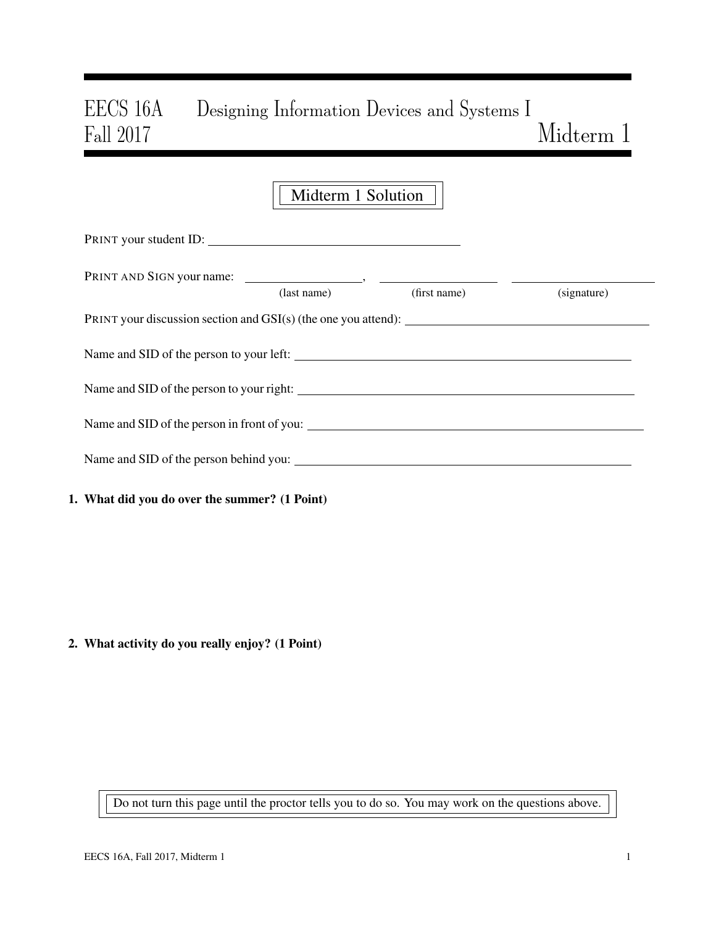# EECS 16A Designing Information Devices and Systems I Fall 2017 Midterm 1

|                                               | Midterm 1 Solution |              |             |
|-----------------------------------------------|--------------------|--------------|-------------|
|                                               |                    |              |             |
|                                               | (last name)        | (first name) | (signature) |
|                                               |                    |              |             |
| Name and SID of the person to your left:      |                    |              |             |
|                                               |                    |              |             |
| Name and SID of the person in front of you:   |                    |              |             |
|                                               |                    |              |             |
| 1. What did you do over the summer? (1 Point) |                    |              |             |

2. What activity do you really enjoy? (1 Point)

Do not turn this page until the proctor tells you to do so. You may work on the questions above.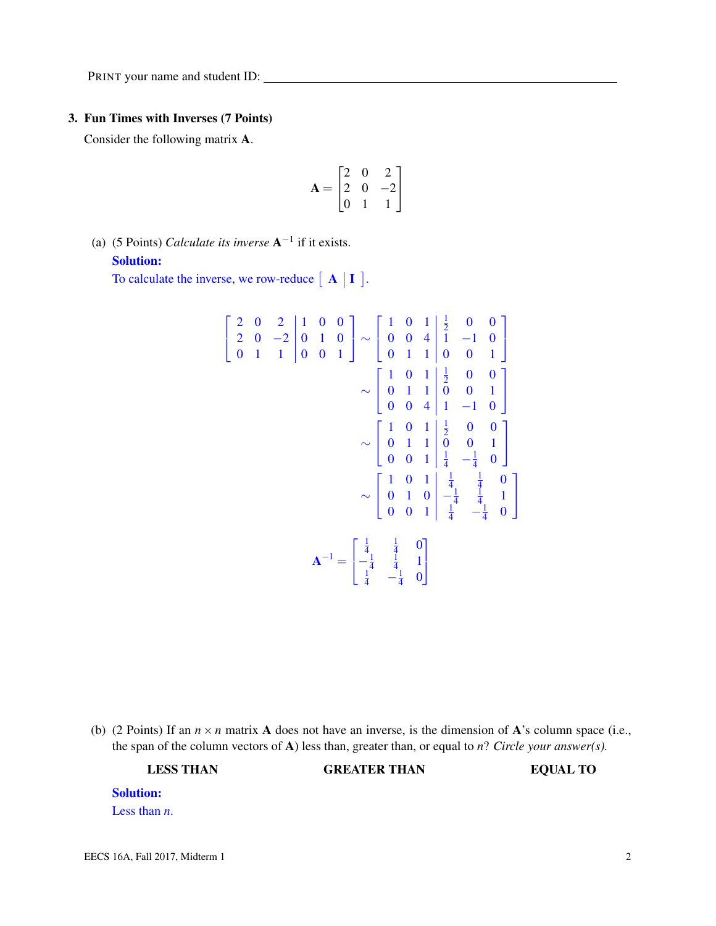#### 3. Fun Times with Inverses (7 Points)

Consider the following matrix A.

$$
\mathbf{A} = \begin{bmatrix} 2 & 0 & 2 \\ 2 & 0 & -2 \\ 0 & 1 & 1 \end{bmatrix}
$$

(a) (5 Points) *Calculate its inverse*  $A^{-1}$  if it exists. Solution:

To calculate the inverse, we row-reduce  $\begin{bmatrix} A & I \end{bmatrix}$ .

$$
\begin{bmatrix} 2 & 0 & 2 & 1 & 0 & 0 \ 2 & 0 & -2 & 0 & 1 & 0 \ 0 & 1 & 1 & 0 & 0 & 1 \ \end{bmatrix} \sim \begin{bmatrix} 1 & 0 & 1 & \frac{1}{2} & 0 & 0 \ 0 & 0 & 4 & 1 & -1 & 0 \ 0 & 1 & 1 & 0 & 0 & 1 \ \end{bmatrix}
$$

$$
\sim \begin{bmatrix} 1 & 0 & 1 & \frac{1}{2} & 0 & 0 \ 0 & 1 & 1 & 0 & 0 & 1 \ 0 & 0 & 4 & 1 & -1 & 0 \ \end{bmatrix}
$$

$$
\sim \begin{bmatrix} 1 & 0 & 1 & \frac{1}{2} & 0 & 0 \ 0 & 1 & 1 & 0 & 0 & 1 \ 0 & 0 & 1 & \frac{1}{4} & -\frac{1}{4} & 0 \ \end{bmatrix}
$$

$$
\sim \begin{bmatrix} 1 & 0 & 1 & \frac{1}{4} & \frac{1}{4} & 0 \ 0 & 1 & 0 & -\frac{1}{4} & \frac{1}{4} & 1 \ 0 & 0 & 1 & \frac{1}{4} & -\frac{1}{4} & 0 \ \end{bmatrix}
$$

$$
\mathbf{A}^{-1} = \begin{bmatrix} \frac{1}{4} & \frac{1}{4} & 0 \\ -\frac{1}{4} & \frac{1}{4} & 1 \\ \frac{1}{4} & -\frac{1}{4} & 0 \end{bmatrix}
$$

(b) (2 Points) If an  $n \times n$  matrix A does not have an inverse, is the dimension of A's column space (i.e., the span of the column vectors of A) less than, greater than, or equal to *n*? *Circle your answer(s).*

LESS THAN GREATER THAN EQUAL TO

# Solution:

Less than *n*.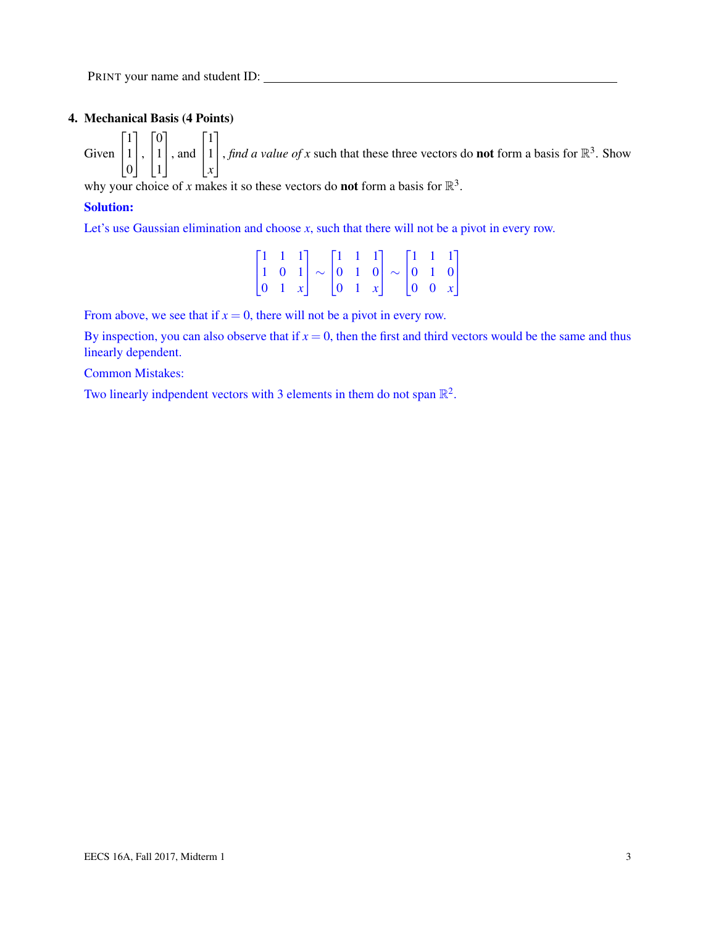# 4. Mechanical Basis (4 Points)

Given  $\sqrt{ }$  $\overline{1}$ 1 1 0 1  $\vert \cdot$  $\sqrt{ }$  $\overline{1}$  $\overline{0}$ 1 1 1 , and  $\sqrt{ }$  $\overline{1}$ 1 1 *x* 1 , *find a value of x* such that these three vectors do **not** form a basis for  $\mathbb{R}^3$ . Show

why your choice of *x* makes it so these vectors do **not** form a basis for  $\mathbb{R}^3$ .

### Solution:

Let's use Gaussian elimination and choose *x*, such that there will not be a pivot in every row.

|  |  |  |  | $\begin{bmatrix} 1 & 1 & 1 \\ 1 & 0 & 1 \end{bmatrix} \sim \begin{bmatrix} 1 & 1 & 1 \\ 0 & 1 & 0 \end{bmatrix} \sim \begin{bmatrix} 1 & 1 & 1 \\ 0 & 1 & 0 \end{bmatrix}$ |  |  |
|--|--|--|--|----------------------------------------------------------------------------------------------------------------------------------------------------------------------------|--|--|
|  |  |  |  | $\begin{vmatrix} 0 & 1 & x \end{vmatrix}$ $\begin{vmatrix} 0 & 1 & x \end{vmatrix}$ $\begin{vmatrix} 0 & 0 & x \end{vmatrix}$                                              |  |  |

From above, we see that if  $x = 0$ , there will not be a pivot in every row.

By inspection, you can also observe that if  $x = 0$ , then the first and third vectors would be the same and thus linearly dependent.

Common Mistakes:

Two linearly indpendent vectors with 3 elements in them do not span  $\mathbb{R}^2$ .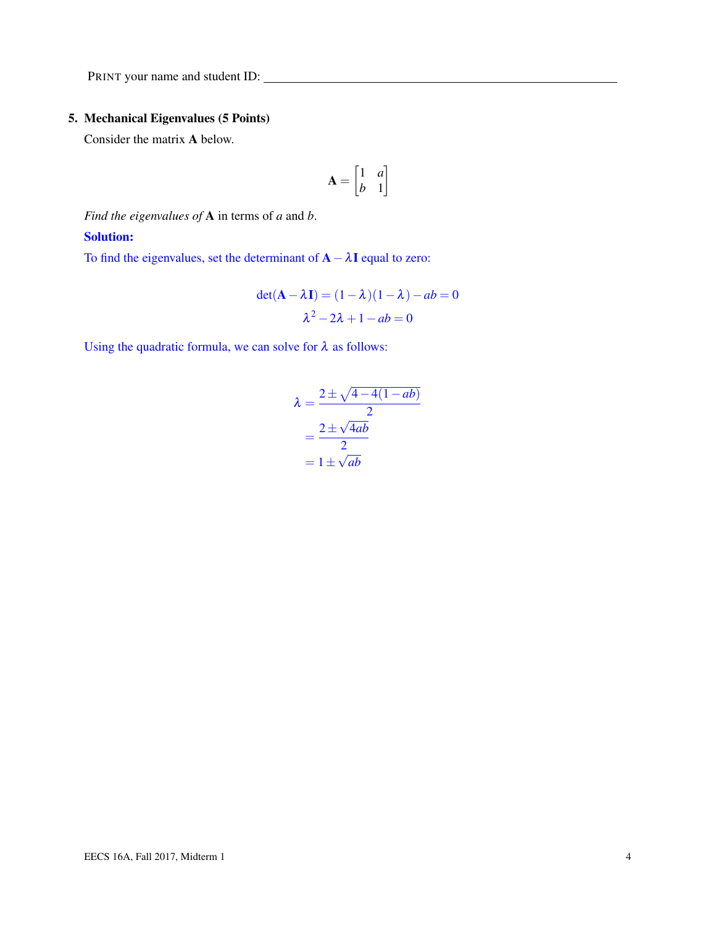# 5. Mechanical Eigenvalues (5 Points)

Consider the matrix A below.

$$
\mathbf{A} = \begin{bmatrix} 1 & a \\ b & 1 \end{bmatrix}
$$

*Find the eigenvalues of* A in terms of *a* and *b*.

#### Solution:

To find the eigenvalues, set the determinant of  $\mathbf{A} - \lambda \mathbf{I}$  equal to zero:

$$
det(\mathbf{A} - \lambda \mathbf{I}) = (1 - \lambda)(1 - \lambda) - ab = 0
$$

$$
\lambda^2 - 2\lambda + 1 - ab = 0
$$

Using the quadratic formula, we can solve for  $\lambda$  as follows:

$$
\lambda = \frac{2 \pm \sqrt{4 - 4(1 - ab)}}{2}
$$

$$
= \frac{2 \pm \sqrt{4ab}}{2}
$$

$$
= 1 \pm \sqrt{ab}
$$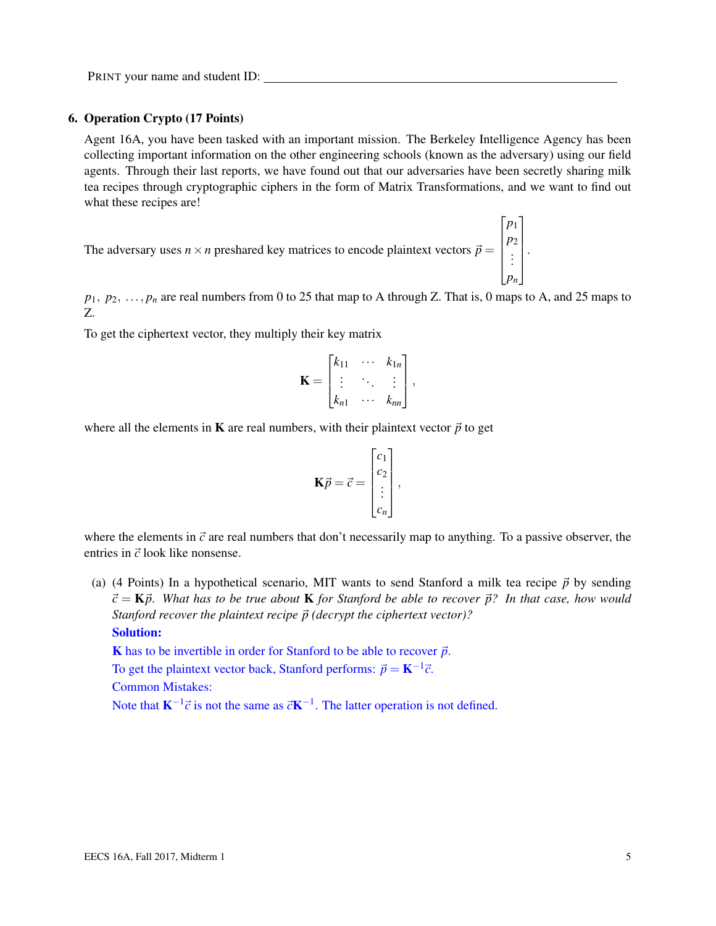#### 6. Operation Crypto (17 Points)

Agent 16A, you have been tasked with an important mission. The Berkeley Intelligence Agency has been collecting important information on the other engineering schools (known as the adversary) using our field agents. Through their last reports, we have found out that our adversaries have been secretly sharing milk tea recipes through cryptographic ciphers in the form of Matrix Transformations, and we want to find out what these recipes are!

The adversary uses  $n \times n$  preshared key matrices to encode plaintext vectors  $\vec{p} =$  $\sqrt{ }$  *p*1 *p*2 . . . *pn* 1  $\begin{array}{c} \hline \end{array}$ 

 $p_1, p_2, \ldots, p_n$  are real numbers from 0 to 25 that map to A through Z. That is, 0 maps to A, and 25 maps to Z.

.

To get the ciphertext vector, they multiply their key matrix

$$
\mathbf{K} = \begin{bmatrix} k_{11} & \cdots & k_{1n} \\ \vdots & \ddots & \vdots \\ k_{n1} & \cdots & k_{nn} \end{bmatrix},
$$

where all the elements in **K** are real numbers, with their plaintext vector  $\vec{p}$  to get

$$
\mathbf{K}\vec{p} = \vec{c} = \begin{bmatrix} c_1 \\ c_2 \\ \vdots \\ c_n \end{bmatrix},
$$

where the elements in  $\vec{c}$  are real numbers that don't necessarily map to anything. To a passive observer, the entries in  $\vec{c}$  look like nonsense.

(a) (4 Points) In a hypothetical scenario, MIT wants to send Stanford a milk tea recipe  $\vec{p}$  by sending  $\vec{c} = \mathbf{K}\vec{p}$ . What has to be true about **K** for Stanford be able to recover  $\vec{p}$ ? In that case, how would *Stanford recover the plaintext recipe*  $\vec{p}$  (decrypt the ciphertext vector)?

Solution:

K has to be invertible in order for Stanford to be able to recover  $\vec{p}$ .

To get the plaintext vector back, Stanford performs:  $\vec{p} = \mathbf{K}^{-1}\vec{c}$ .

Common Mistakes:

Note that  $K^{-1} \vec{c}$  is not the same as  $\vec{c}K^{-1}$ . The latter operation is not defined.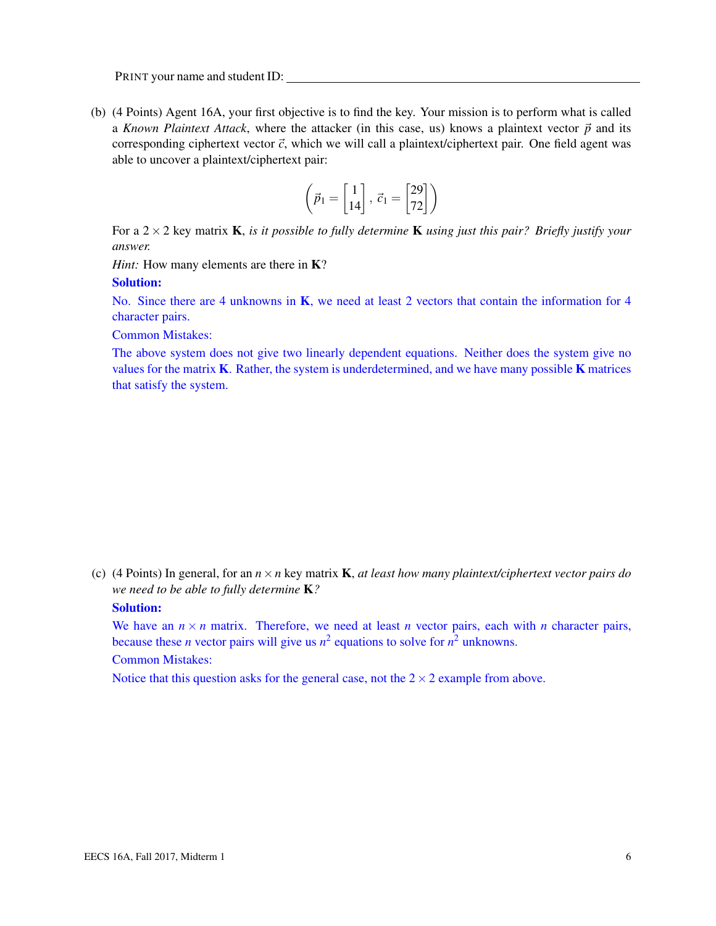(b) (4 Points) Agent 16A, your first objective is to find the key. Your mission is to perform what is called a *Known Plaintext Attack*, where the attacker (in this case, us) knows a plaintext vector  $\vec{p}$  and its corresponding ciphertext vector  $\vec{c}$ , which we will call a plaintext/ciphertext pair. One field agent was able to uncover a plaintext/ciphertext pair:

$$
\left(\vec{p}_1 = \begin{bmatrix} 1 \\ 14 \end{bmatrix}, \ \vec{c}_1 = \begin{bmatrix} 29 \\ 72 \end{bmatrix}\right)
$$

For a 2×2 key matrix K, *is it possible to fully determine* K *using just this pair? Briefly justify your answer.*

*Hint*: How many elements are there in **K**?

#### Solution:

No. Since there are 4 unknowns in K, we need at least 2 vectors that contain the information for 4 character pairs.

Common Mistakes:

The above system does not give two linearly dependent equations. Neither does the system give no values for the matrix  $K$ . Rather, the system is underdetermined, and we have many possible  $K$  matrices that satisfy the system.

(c) (4 Points) In general, for an *n*×*n* key matrix K, *at least how many plaintext/ciphertext vector pairs do we need to be able to fully determine* K*?*

#### Solution:

We have an  $n \times n$  matrix. Therefore, we need at least *n* vector pairs, each with *n* character pairs, because these *n* vector pairs will give us  $n^2$  equations to solve for  $n^2$  unknowns.

Common Mistakes:

Notice that this question asks for the general case, not the  $2 \times 2$  example from above.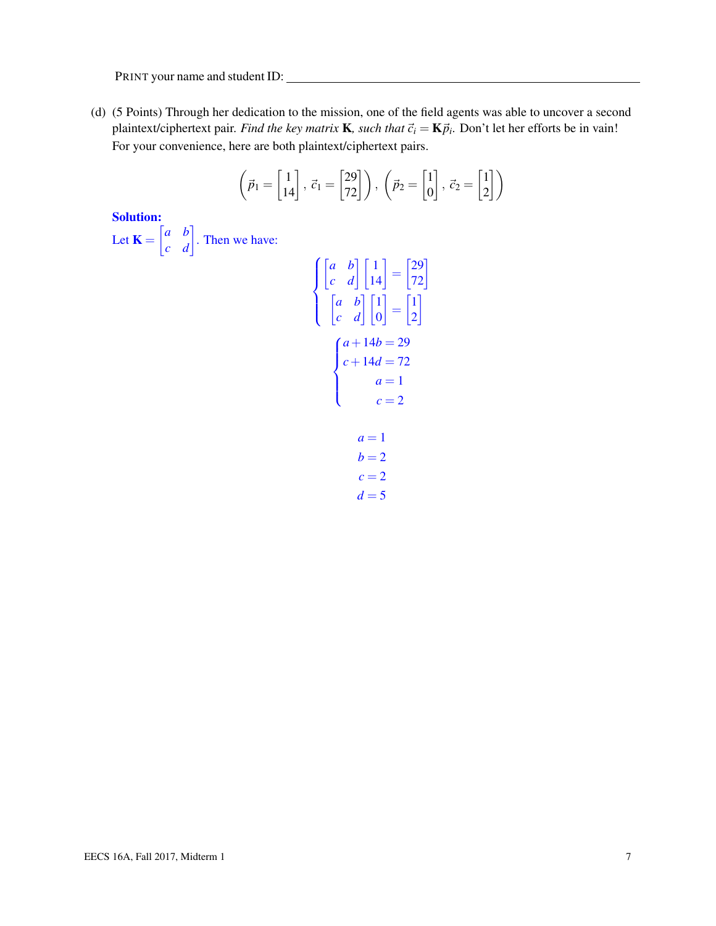(d) (5 Points) Through her dedication to the mission, one of the field agents was able to uncover a second plaintext/ciphertext pair. *Find the key matrix* **K**, such that  $\vec{c}_i = \mathbf{K} \vec{p}_i$ . Don't let her efforts be in vain! For your convenience, here are both plaintext/ciphertext pairs.

$$
\left(\vec{p}_1 = \begin{bmatrix} 1 \\ 14 \end{bmatrix}, \ \vec{c}_1 = \begin{bmatrix} 29 \\ 72 \end{bmatrix}\right), \ \left(\vec{p}_2 = \begin{bmatrix} 1 \\ 0 \end{bmatrix}, \ \vec{c}_2 = \begin{bmatrix} 1 \\ 2 \end{bmatrix}\right)
$$

Solution:

Let  $\mathbf{K} = \begin{bmatrix} a & b \\ c & d \end{bmatrix}$ . Then we have:

$$
\begin{cases}\n\begin{bmatrix} a & b \\ c & d \end{bmatrix} \begin{bmatrix} 1 \\ 14 \end{bmatrix} = \begin{bmatrix} 29 \\ 72 \end{bmatrix} \\
\begin{bmatrix} a & b \\ c & d \end{bmatrix} \begin{bmatrix} 1 \\ 0 \end{bmatrix} = \begin{bmatrix} 1 \\ 2 \end{bmatrix} \\
c + 14d = 72 \\
d = 1 \\
c = 2 \\
d = 1 \\
b = 2 \\
c = 2\n\end{cases}
$$

 $d = 5$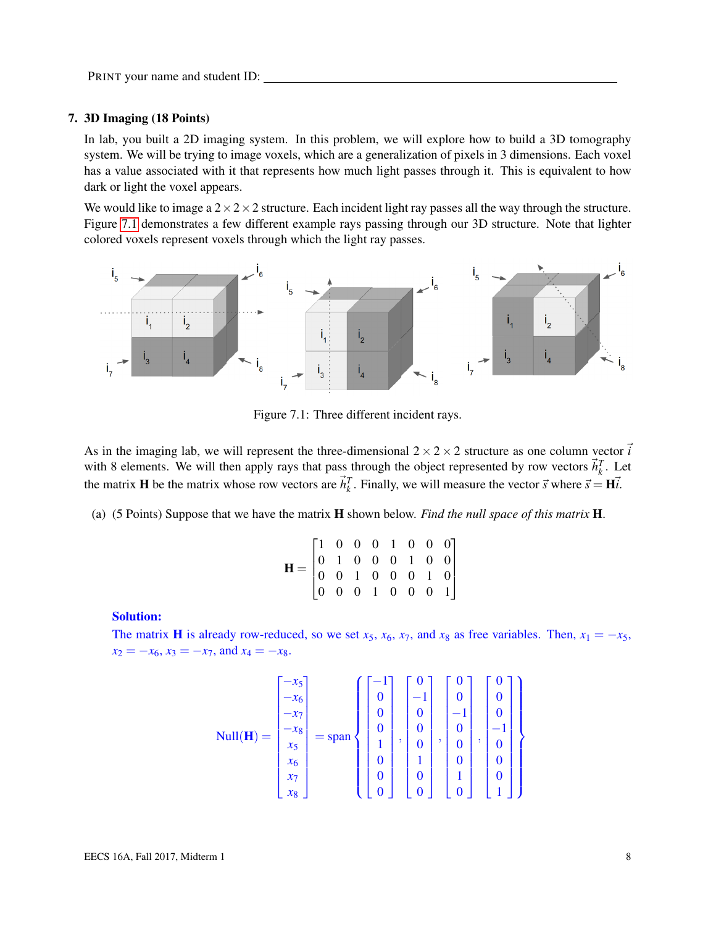#### 7. 3D Imaging (18 Points)

In lab, you built a 2D imaging system. In this problem, we will explore how to build a 3D tomography system. We will be trying to image voxels, which are a generalization of pixels in 3 dimensions. Each voxel has a value associated with it that represents how much light passes through it. This is equivalent to how dark or light the voxel appears.

We would like to image a  $2 \times 2 \times 2$  structure. Each incident light ray passes all the way through the structure. Figure [7.1](#page-7-0) demonstrates a few different example rays passing through our 3D structure. Note that lighter colored voxels represent voxels through which the light ray passes.

<span id="page-7-0"></span>

Figure 7.1: Three different incident rays.

As in the imaging lab, we will represent the three-dimensional  $2 \times 2 \times 2$  structure as one column vector  $\vec{i}$ with 8 elements. We will then apply rays that pass through the object represented by row vectors  $\vec{h}_k^T$ . Let the matrix **H** be the matrix whose row vectors are  $\vec{h}_k^T$ . Finally, we will measure the vector  $\vec{s}$  where  $\vec{s} = H\vec{i}$ .

<span id="page-7-1"></span>(a) (5 Points) Suppose that we have the matrix H shown below. *Find the null space of this matrix* H.

| $\mathbf{H} = \begin{bmatrix} 1 & 0 & 0 & 0 & 1 & 0 & 0 & 0 \\ 0 & 1 & 0 & 0 & 0 & 1 & 0 & 0 \\ 0 & 0 & 1 & 0 & 0 & 0 & 1 & 0 \\ 0 & 0 & 0 & 1 & 0 & 0 & 0 & 1 \end{bmatrix}$ |  |  |  |  |
|-------------------------------------------------------------------------------------------------------------------------------------------------------------------------------|--|--|--|--|

Solution:

The matrix **H** is already row-reduced, so we set  $x_5$ ,  $x_6$ ,  $x_7$ , and  $x_8$  as free variables. Then,  $x_1 = -x_5$ ,  $x_2 = -x_6$ ,  $x_3 = -x_7$ , and  $x_4 = -x_8$ .

$$
\text{Null}(\mathbf{H}) = \begin{bmatrix} -x_5 \\ -x_6 \\ -x_7 \\ -x_8 \\ x_5 \\ x_6 \\ x_7 \\ x_8 \end{bmatrix} = \text{span}\left\{\begin{bmatrix} -1 \\ 0 \\ 0 \\ 0 \\ 1 \\ 0 \\ 0 \\ 0 \end{bmatrix}, \begin{bmatrix} 0 \\ -1 \\ 0 \\ 0 \\ 0 \\ 1 \\ 0 \\ 0 \end{bmatrix}, \begin{bmatrix} 0 \\ 0 \\ -1 \\ 0 \\ 0 \\ 0 \\ 1 \\ 0 \end{bmatrix}, \begin{bmatrix} 0 \\ 0 \\ 0 \\ -1 \\ 0 \\ 0 \\ 0 \\ 1 \end{bmatrix} \right\}
$$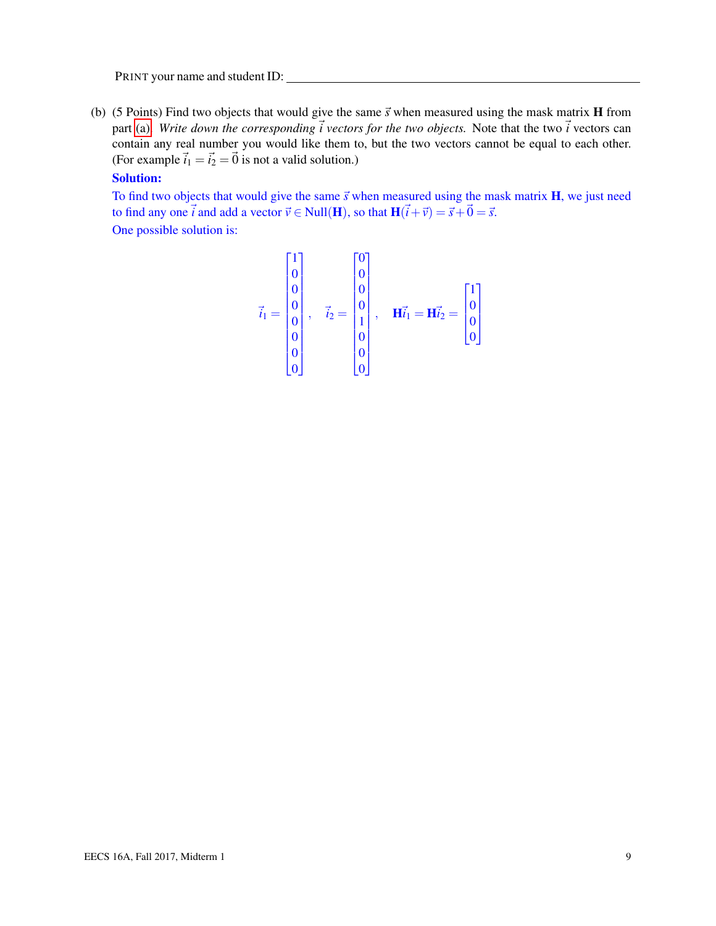(b) (5 Points) Find two objects that would give the same  $\vec{s}$  when measured using the mask matrix **H** from part [\(a\).](#page-7-1) *Write down the corresponding*  $\vec{i}$  vectors for the two objects. Note that the two  $\vec{i}$  vectors can contain any real number you would like them to, but the two vectors cannot be equal to each other. (For example  $\vec{i}_1 = \vec{i}_2 = \vec{0}$  is not a valid solution.)

#### Solution:

To find two objects that would give the same  $\vec{s}$  when measured using the mask matrix  $H$ , we just need to find any one  $\vec{i}$  and add a vector  $\vec{v} \in Null(\mathbf{H})$ , so that  $\mathbf{H}(\vec{i}+\vec{v}) = \vec{s}+\vec{0} = \vec{s}$ . One possible solution is:

$$
\vec{i}_1 = \begin{bmatrix} 1 \\ 0 \\ 0 \\ 0 \\ 0 \\ 0 \\ 0 \\ 0 \end{bmatrix}, \quad \vec{i}_2 = \begin{bmatrix} 0 \\ 0 \\ 0 \\ 0 \\ 1 \\ 0 \\ 0 \\ 0 \end{bmatrix}, \quad \mathbf{H}\vec{i}_1 = \mathbf{H}\vec{i}_2 = \begin{bmatrix} 1 \\ 0 \\ 0 \\ 0 \\ 0 \\ 0 \end{bmatrix}
$$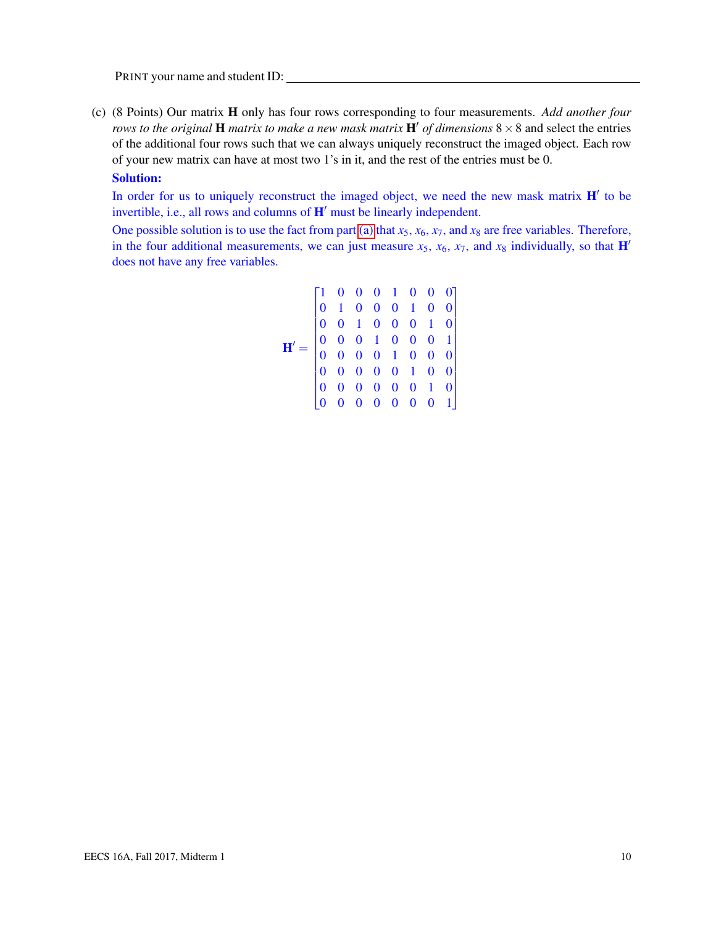(c) (8 Points) Our matrix H only has four rows corresponding to four measurements. *Add another four rows to the original* **H** *matrix to make a new mask matrix*  $\mathbf{H}'$  *of dimensions*  $8 \times 8$  and select the entries of the additional four rows such that we can always uniquely reconstruct the imaged object. Each row of your new matrix can have at most two 1's in it, and the rest of the entries must be 0.

#### Solution:

In order for us to uniquely reconstruct the imaged object, we need the new mask matrix  $H'$  to be invertible, i.e., all rows and columns of  $H'$  must be linearly independent.

One possible solution is to use the fact from part [\(a\)](#page-7-1) that  $x_5$ ,  $x_6$ ,  $x_7$ , and  $x_8$  are free variables. Therefore, in the four additional measurements, we can just measure  $x_5$ ,  $x_6$ ,  $x_7$ , and  $x_8$  individually, so that  $H'$ does not have any free variables.

$$
\mathbf{H}' = \begin{bmatrix} 1 & 0 & 0 & 0 & 1 & 0 & 0 & 0 \\ 0 & 1 & 0 & 0 & 0 & 1 & 0 & 0 \\ 0 & 0 & 1 & 0 & 0 & 0 & 1 & 0 \\ 0 & 0 & 0 & 1 & 0 & 0 & 0 & 1 \\ 0 & 0 & 0 & 0 & 1 & 0 & 0 & 0 \\ 0 & 0 & 0 & 0 & 0 & 1 & 0 & 0 \\ 0 & 0 & 0 & 0 & 0 & 0 & 1 & 0 \\ 0 & 0 & 0 & 0 & 0 & 0 & 0 & 1 \end{bmatrix}
$$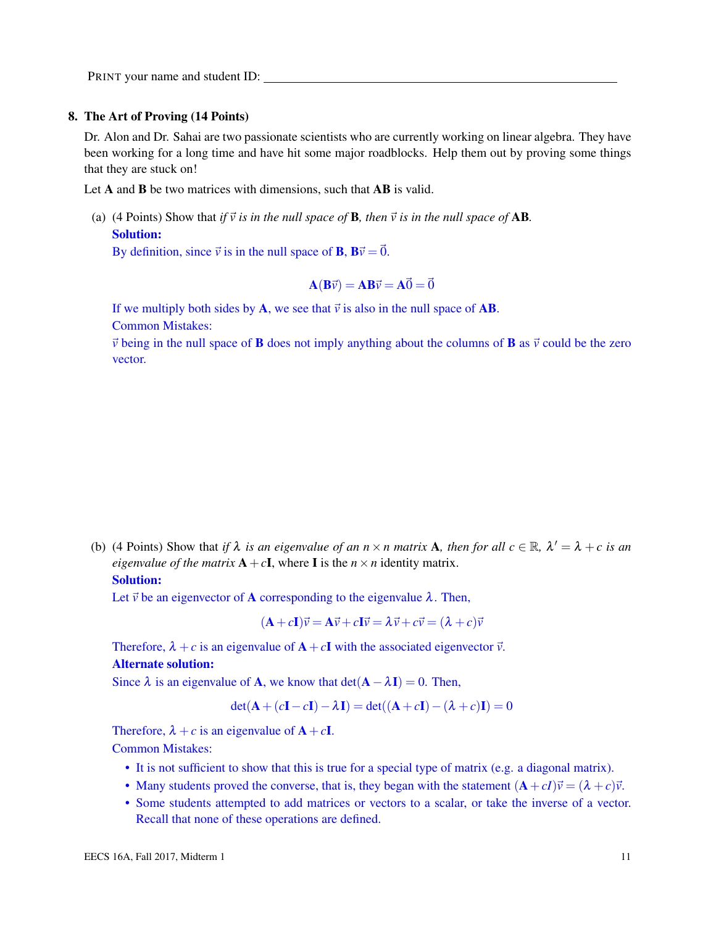#### 8. The Art of Proving (14 Points)

Dr. Alon and Dr. Sahai are two passionate scientists who are currently working on linear algebra. They have been working for a long time and have hit some major roadblocks. Help them out by proving some things that they are stuck on!

Let A and B be two matrices with dimensions, such that AB is valid.

(a) (4 Points) Show that *if*  $\vec{v}$  *is in the null space of* **B***, then*  $\vec{v}$  *is in the null space of* **AB**. Solution:

By definition, since  $\vec{v}$  is in the null space of **B**,  $B\vec{v} = \vec{0}$ .

$$
\mathbf{A}(\mathbf{B}\vec{v}) = \mathbf{A}\mathbf{B}\vec{v} = \mathbf{A}\vec{0} = \vec{0}
$$

If we multiply both sides by A, we see that  $\vec{v}$  is also in the null space of AB.

Common Mistakes:

 $\vec{v}$  being in the null space of **B** does not imply anything about the columns of **B** as  $\vec{v}$  could be the zero vector.

(b) (4 Points) Show that *if*  $\lambda$  *is an eigenvalue of an n* × *n matrix* **A***, then for all*  $c \in \mathbb{R}$ *,*  $\lambda' = \lambda + c$  *is an eigenvalue of the matrix*  $A + cI$ , where I is the  $n \times n$  identity matrix.

# Solution:

Let  $\vec{v}$  be an eigenvector of A corresponding to the eigenvalue  $\lambda$ . Then,

$$
(\mathbf{A} + c\mathbf{I})\vec{v} = \mathbf{A}\vec{v} + c\mathbf{I}\vec{v} = \lambda\vec{v} + c\vec{v} = (\lambda + c)\vec{v}
$$

Therefore,  $\lambda + c$  is an eigenvalue of  $A + cI$  with the associated eigenvector  $\vec{v}$ . Alternate solution:

Since  $\lambda$  is an eigenvalue of **A**, we know that  $det(A - \lambda I) = 0$ . Then,

$$
\det(\mathbf{A} + (c\mathbf{I} - c\mathbf{I}) - \lambda \mathbf{I}) = \det((\mathbf{A} + c\mathbf{I}) - (\lambda + c)\mathbf{I}) = 0
$$

Therefore,  $\lambda + c$  is an eigenvalue of  $A + cI$ . Common Mistakes:

- It is not sufficient to show that this is true for a special type of matrix (e.g. a diagonal matrix).
- Many students proved the converse, that is, they began with the statement  $(A + cI)\vec{v} = (\lambda + c)\vec{v}$ .
- Some students attempted to add matrices or vectors to a scalar, or take the inverse of a vector. Recall that none of these operations are defined.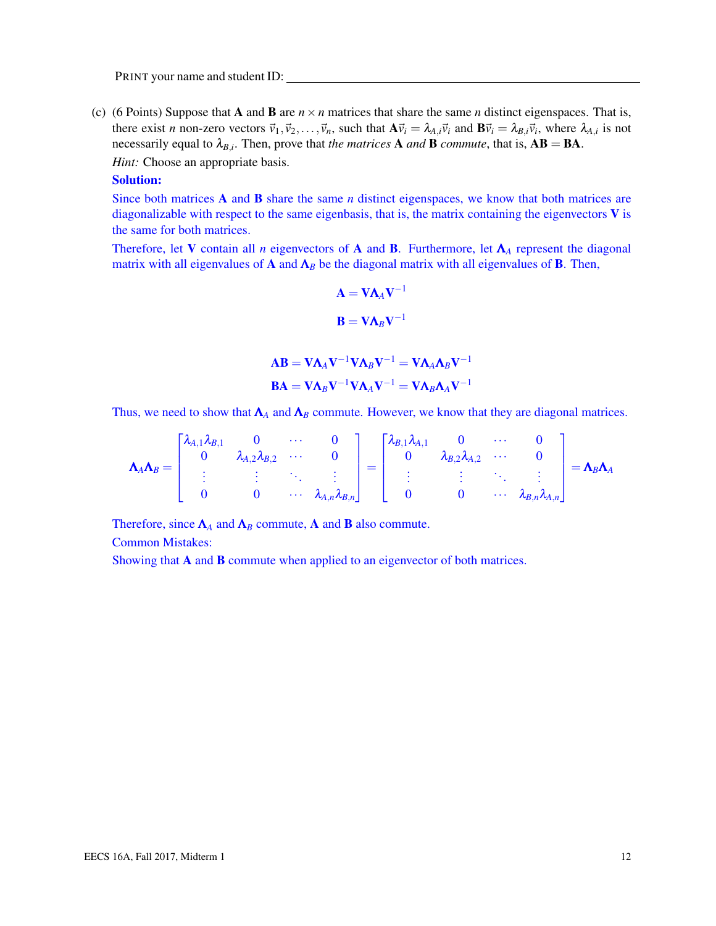(c) (6 Points) Suppose that **A** and **B** are  $n \times n$  matrices that share the same *n* distinct eigenspaces. That is, there exist *n* non-zero vectors  $\vec{v}_1, \vec{v}_2, \dots, \vec{v}_n$ , such that  $A\vec{v}_i = \lambda_{A,i}\vec{v}_i$  and  $B\vec{v}_i = \lambda_{B,i}\vec{v}_i$ , where  $\lambda_{A,i}$  is not necessarily equal to  $\lambda_{B,i}$ . Then, prove that *the matrices* **A** *and* **B** *commute*, that is,  $AB = BA$ .

*Hint:* Choose an appropriate basis.

# Solution:

Since both matrices A and B share the same *n* distinct eigenspaces, we know that both matrices are diagonalizable with respect to the same eigenbasis, that is, the matrix containing the eigenvectors  $V$  is the same for both matrices.

Therefore, let V contain all *n* eigenvectors of A and B. Furthermore, let Λ*<sup>A</sup>* represent the diagonal matrix with all eigenvalues of A and  $\Lambda_B$  be the diagonal matrix with all eigenvalues of B. Then,

$$
\mathbf{A} = \mathbf{V} \mathbf{\Lambda}_A \mathbf{V}^{-1}
$$

$$
\mathbf{B} = \mathbf{V} \mathbf{\Lambda}_B \mathbf{V}^{-1}
$$

$$
\mathbf{AB} = \mathbf{V} \mathbf{\Lambda}_A \mathbf{V}^{-1} \mathbf{V} \mathbf{\Lambda}_B \mathbf{V}^{-1} = \mathbf{V} \mathbf{\Lambda}_A \mathbf{\Lambda}_B \mathbf{V}^{-1}
$$

$$
\mathbf{BA} = \mathbf{V} \mathbf{\Lambda}_B \mathbf{V}^{-1} \mathbf{V} \mathbf{\Lambda}_A \mathbf{V}^{-1} = \mathbf{V} \mathbf{\Lambda}_B \mathbf{\Lambda}_A \mathbf{V}^{-1}
$$

Thus, we need to show that  $\Lambda_A$  and  $\Lambda_B$  commute. However, we know that they are diagonal matrices.

$$
\mathbf{\Lambda}_{A}\mathbf{\Lambda}_{B} = \begin{bmatrix} \lambda_{A,1}\lambda_{B,1} & 0 & \cdots & 0 \\ 0 & \lambda_{A,2}\lambda_{B,2} & \cdots & 0 \\ \vdots & \vdots & \ddots & \vdots \\ 0 & 0 & \cdots & \lambda_{A,n}\lambda_{B,n} \end{bmatrix} = \begin{bmatrix} \lambda_{B,1}\lambda_{A,1} & 0 & \cdots & 0 \\ 0 & \lambda_{B,2}\lambda_{A,2} & \cdots & 0 \\ \vdots & \vdots & \ddots & \vdots \\ 0 & 0 & \cdots & \lambda_{B,n}\lambda_{A,n} \end{bmatrix} = \mathbf{\Lambda}_{B}\mathbf{\Lambda}_{A}
$$

Therefore, since  $\Lambda_A$  and  $\Lambda_B$  commute, A and **B** also commute.

Common Mistakes:

Showing that **A** and **B** commute when applied to an eigenvector of both matrices.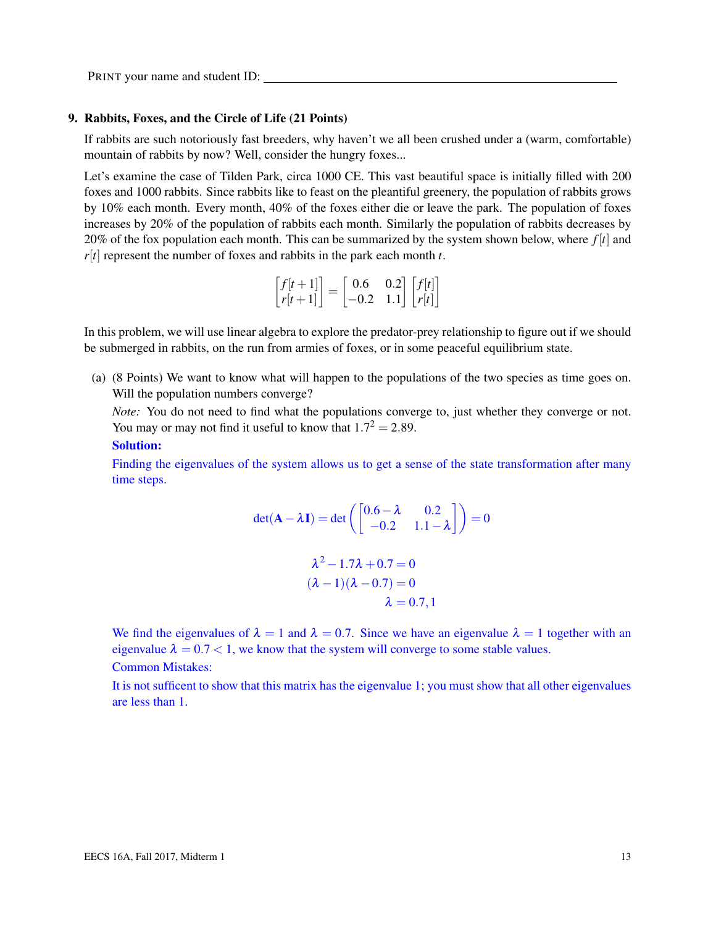#### 9. Rabbits, Foxes, and the Circle of Life (21 Points)

If rabbits are such notoriously fast breeders, why haven't we all been crushed under a (warm, comfortable) mountain of rabbits by now? Well, consider the hungry foxes...

Let's examine the case of Tilden Park, circa 1000 CE. This vast beautiful space is initially filled with 200 foxes and 1000 rabbits. Since rabbits like to feast on the pleantiful greenery, the population of rabbits grows by 10% each month. Every month, 40% of the foxes either die or leave the park. The population of foxes increases by 20% of the population of rabbits each month. Similarly the population of rabbits decreases by 20% of the fox population each month. This can be summarized by the system shown below, where *f* [*t*] and  $r[t]$  represent the number of foxes and rabbits in the park each month  $t$ .

$$
\begin{bmatrix} f[t+1] \\ r[t+1] \end{bmatrix} = \begin{bmatrix} 0.6 & 0.2 \\ -0.2 & 1.1 \end{bmatrix} \begin{bmatrix} f[t] \\ r[t] \end{bmatrix}
$$

In this problem, we will use linear algebra to explore the predator-prey relationship to figure out if we should be submerged in rabbits, on the run from armies of foxes, or in some peaceful equilibrium state.

(a) (8 Points) We want to know what will happen to the populations of the two species as time goes on. Will the population numbers converge?

*Note:* You do not need to find what the populations converge to, just whether they converge or not. You may or may not find it useful to know that  $1.7^2 = 2.89$ .

#### Solution:

Finding the eigenvalues of the system allows us to get a sense of the state transformation after many time steps.

$$
det(\mathbf{A} - \lambda \mathbf{I}) = det\left(\begin{bmatrix} 0.6 - \lambda & 0.2\\ -0.2 & 1.1 - \lambda \end{bmatrix}\right) = 0
$$

$$
\lambda^2 - 1.7\lambda + 0.7 = 0
$$

$$
(\lambda - 1)(\lambda - 0.7) = 0
$$

$$
\lambda = 0.7, 1
$$

We find the eigenvalues of  $\lambda = 1$  and  $\lambda = 0.7$ . Since we have an eigenvalue  $\lambda = 1$  together with an eigenvalue  $\lambda = 0.7 < 1$ , we know that the system will converge to some stable values.

Common Mistakes:

It is not sufficent to show that this matrix has the eigenvalue 1; you must show that all other eigenvalues are less than 1.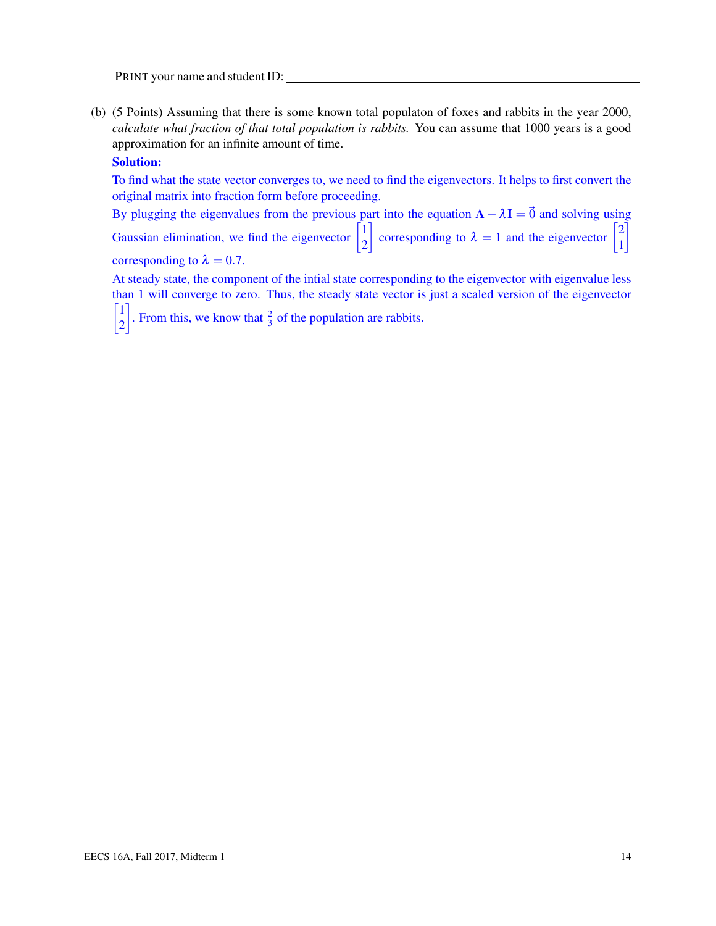(b) (5 Points) Assuming that there is some known total populaton of foxes and rabbits in the year 2000, *calculate what fraction of that total population is rabbits.* You can assume that 1000 years is a good approximation for an infinite amount of time.

## Solution:

To find what the state vector converges to, we need to find the eigenvectors. It helps to first convert the original matrix into fraction form before proceeding.

By plugging the eigenvalues from the previous part into the equation  $\mathbf{A} - \lambda \mathbf{I} = \vec{0}$  and solving using Gaussian elimination, we find the eigenvector  $\begin{bmatrix} 1 \\ 2 \end{bmatrix}$ 2 corresponding to  $\lambda = 1$  and the eigenvector  $\begin{bmatrix} \end{bmatrix}$ 2 1 1 corresponding to  $\lambda = 0.7$ .

At steady state, the component of the intial state corresponding to the eigenvector with eigenvalue less than 1 will converge to zero. Thus, the steady state vector is just a scaled version of the eigenvector  $\lceil 1 \rceil$ 2 From this, we know that  $\frac{2}{3}$  of the population are rabbits.